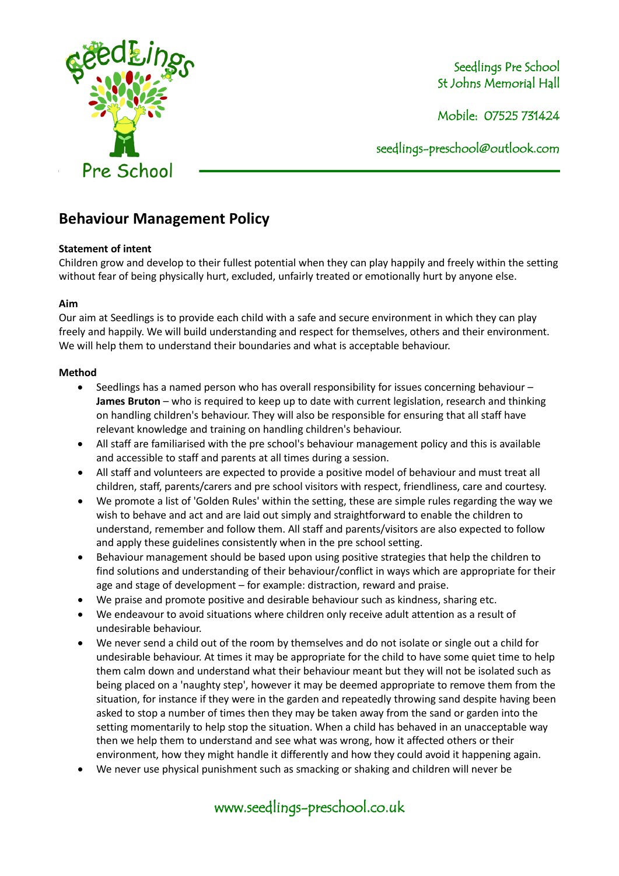

Seedlings Pre School St Johns Memorial Hall

Mobile: 07525 731424

seedlings[-preschool@outlook.com](mailto:preschool@outlook.com)

# **Behaviour Management Policy**

# **Statement of intent**

Children grow and develop to their fullest potential when they can play happily and freely within the setting without fear of being physically hurt, excluded, unfairly treated or emotionally hurt by anyone else.

### **Aim**

Our aim at Seedlings is to provide each child with a safe and secure environment in which they can play freely and happily. We will build understanding and respect for themselves, others and their environment. We will help them to understand their boundaries and what is acceptable behaviour.

# **Method**

- Seedlings has a named person who has overall responsibility for issues concerning behaviour **James Bruton** – who is required to keep up to date with current legislation, research and thinking on handling children's behaviour. They will also be responsible for ensuring that all staff have relevant knowledge and training on handling children's behaviour.
- All staff are familiarised with the pre school's behaviour management policy and this is available and accessible to staff and parents at all times during a session.
- All staff and volunteers are expected to provide a positive model of behaviour and must treat all children, staff, parents/carers and pre school visitors with respect, friendliness, care and courtesy.
- We promote a list of 'Golden Rules' within the setting, these are simple rules regarding the way we wish to behave and act and are laid out simply and straightforward to enable the children to understand, remember and follow them. All staff and parents/visitors are also expected to follow and apply these guidelines consistently when in the pre school setting.
- Behaviour management should be based upon using positive strategies that help the children to find solutions and understanding of their behaviour/conflict in ways which are appropriate for their age and stage of development – for example: distraction, reward and praise.
- We praise and promote positive and desirable behaviour such as kindness, sharing etc.
- We endeavour to avoid situations where children only receive adult attention as a result of undesirable behaviour.
- We never send a child out of the room by themselves and do not isolate or single out a child for undesirable behaviour. At times it may be appropriate for the child to have some quiet time to help them calm down and understand what their behaviour meant but they will not be isolated such as being placed on a 'naughty step', however it may be deemed appropriate to remove them from the situation, for instance if they were in the garden and repeatedly throwing sand despite having been asked to stop a number of times then they may be taken away from the sand or garden into the setting momentarily to help stop the situation. When a child has behaved in an unacceptable way then we help them to understand and see what was wrong, how it affected others or their environment, how they might handle it differently and how they could avoid it happening again.
- We never use physical punishment such as smacking or shaking and children will never be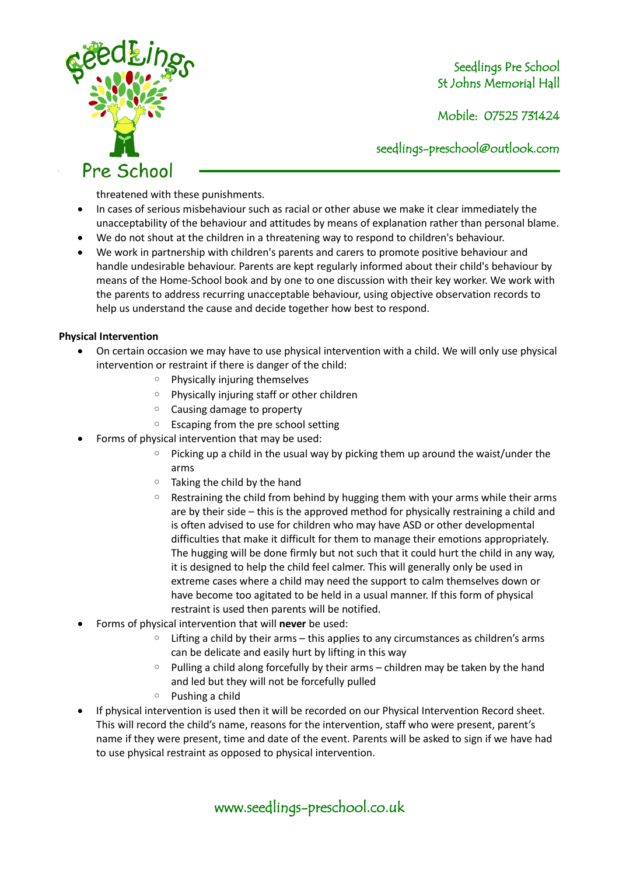

Seedlings Pre School St Johns Memorial Hall

Mobile: 07525 731424

seedlings[-preschool@outlook.com](mailto:preschool@outlook.com)

threatened with these punishments.

- In cases of serious misbehaviour such as racial or other abuse we make it clear immediately the unacceptability of the behaviour and attitudes by means of explanation rather than personal blame.
- We do not shout at the children in a threatening way to respond to children's behaviour.
- We work in partnership with children's parents and carers to promote positive behaviour and handle undesirable behaviour. Parents are kept regularly informed about their child's behaviour by means of the Home-School book and by one to one discussion with their key worker. We work with the parents to address recurring unacceptable behaviour, using objective observation records to help us understand the cause and decide together how best to respond.

#### **Physical Intervention**

- On certain occasion we may have to use physical intervention with a child. We will only use physical intervention or restraint if there is danger of the child:
	- Physically injuring themselves
	- Physically injuring staff or other children
	- Causing damage to property
	- Escaping from the pre school setting
- Forms of physical intervention that may be used:
	- $\degree$  Picking up a child in the usual way by picking them up around the waist/under the arms
	- Taking the child by the hand
	- Restraining the child from behind by hugging them with your arms while their arms are by their side – this is the approved method for physically restraining a child and is often advised to use for children who may have ASD or other developmental difficulties that make it difficult for them to manage their emotions appropriately. The hugging will be done firmly but not such that it could hurt the child in any way, it is designed to help the child feel calmer. This will generally only be used in extreme cases where a child may need the support to calm themselves down or have become too agitated to be held in a usual manner. If this form of physical restraint is used then parents will be notified.
- Forms of physical intervention that will **never** be used:
	- Lifting a child by their arms this applies to any circumstances as children's arms can be delicate and easily hurt by lifting in this way
	- Pulling a child along forcefully by their arms children may be taken by the hand and led but they will not be forcefully pulled
	- Pushing a child
- If physical intervention is used then it will be recorded on our Physical Intervention Record sheet. This will record the child's name, reasons for the intervention, staff who were present, parent's name if they were present, time and date of the event. Parents will be asked to sign if we have had to use physical restraint as opposed to physical intervention.